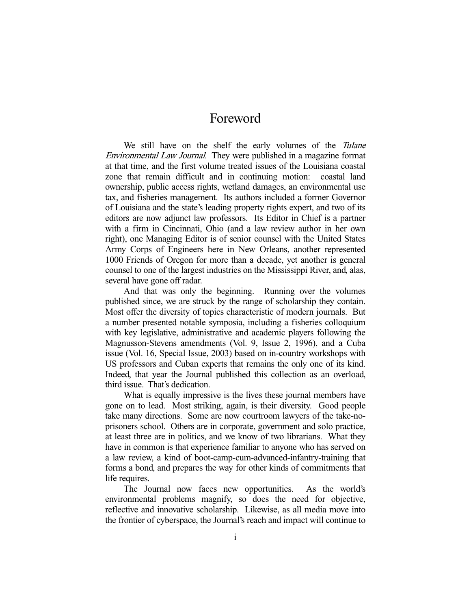## Foreword

We still have on the shelf the early volumes of the Tulane Environmental Law Journal. They were published in a magazine format at that time, and the first volume treated issues of the Louisiana coastal zone that remain difficult and in continuing motion: coastal land ownership, public access rights, wetland damages, an environmental use tax, and fisheries management. Its authors included a former Governor of Louisiana and the state's leading property rights expert, and two of its editors are now adjunct law professors. Its Editor in Chief is a partner with a firm in Cincinnati, Ohio (and a law review author in her own right), one Managing Editor is of senior counsel with the United States Army Corps of Engineers here in New Orleans, another represented 1000 Friends of Oregon for more than a decade, yet another is general counsel to one of the largest industries on the Mississippi River, and, alas, several have gone off radar.

 And that was only the beginning. Running over the volumes published since, we are struck by the range of scholarship they contain. Most offer the diversity of topics characteristic of modern journals. But a number presented notable symposia, including a fisheries colloquium with key legislative, administrative and academic players following the Magnusson-Stevens amendments (Vol. 9, Issue 2, 1996), and a Cuba issue (Vol. 16, Special Issue, 2003) based on in-country workshops with US professors and Cuban experts that remains the only one of its kind. Indeed, that year the Journal published this collection as an overload, third issue. That's dedication.

 What is equally impressive is the lives these journal members have gone on to lead. Most striking, again, is their diversity. Good people take many directions. Some are now courtroom lawyers of the take-noprisoners school. Others are in corporate, government and solo practice, at least three are in politics, and we know of two librarians. What they have in common is that experience familiar to anyone who has served on a law review, a kind of boot-camp-cum-advanced-infantry-training that forms a bond, and prepares the way for other kinds of commitments that life requires.

 The Journal now faces new opportunities. As the world's environmental problems magnify, so does the need for objective, reflective and innovative scholarship. Likewise, as all media move into the frontier of cyberspace, the Journal's reach and impact will continue to